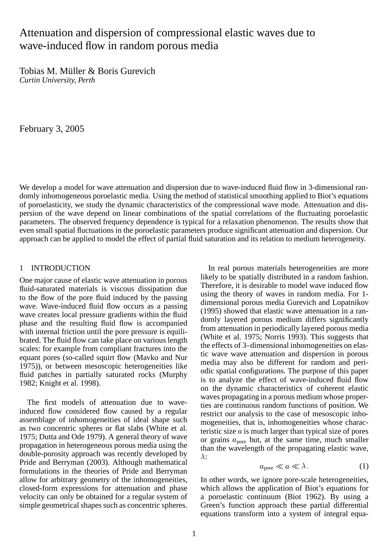# Attenuation and dispersion of compressional elastic waves due to wave-induced flow in random porous media

Tobias M. Müller & Boris Gurevich *Curtin University, Perth*

February 3, 2005

We develop a model for wave attenuation and dispersion due to wave-induced fluid flow in 3-dimensional randomly inhomogeneous poroelastic media. Using the method of statistical smoothing applied to Biot's equations of poroelasticity, we study the dynamic characteristics of the compressional wave mode. Attenuation and dispersion of the wave depend on linear combinations of the spatial correlations of the fluctuating poroelastic parameters. The observed frequency dependence is typical for a relaxation phenomenon. The results show that even small spatial fluctuations in the poroelastic parameters produce significant attenuation and dispersion. Our approach can be applied to model the effect of partial fluid saturation and its relation to medium heterogeneity.

## 1 INTRODUCTION

One major cause of elastic wave attenuation in porous fluid-saturated materials is viscous dissipation due to the flow of the pore fluid induced by the passing wave. Wave-induced fluid flow occurs as a passing wave creates local pressure gradients within the fluid phase and the resulting fluid flow is accompanied with internal friction until the pore pressure is equilibrated. The fluid flow can take place on various length scales: for example from compliant fractures into the equant pores (so-called squirt flow (Mavko and Nur 1975)), or between mesoscopic heterogeneities like fluid patches in partially saturated rocks (Murphy 1982; Knight et al. 1998).

The first models of attenuation due to waveinduced flow considered flow caused by a regular assemblage of inhomogeneities of ideal shape such as two concentric spheres or flat slabs (White et al. 1975; Dutta and Ode 1979). A general theory of wave propagation in heterogeneous porous media using the double-porosity approach was recently developed by Pride and Berryman (2003). Although mathematical formulations in the theories of Pride and Berryman allow for arbitrary geometry of the inhomogeneities, closed-form expressions for attenuation and phase velocity can only be obtained for a regular system of simple geometrical shapes such as concentric spheres.

In real porous materials heterogeneities are more likely to be spatially distributed in a random fashion. Therefore, it is desirable to model wave induced flow using the theory of waves in random media. For 1 dimensional porous media Gurevich and Lopatnikov (1995) showed that elastic wave attenuation in a randomly layered porous medium differs significantly from attenuation in periodically layered porous media (White et al. 1975; Norris 1993). This suggests that the effects of 3–dimensional inhomogeneities on elastic wave wave attenuation and dispersion in porous media may also be different for random and periodic spatial configurations. The purpose of this paper is to analyze the effect of wave-induced fluid flow on the dynamic characteristics of coherent elastic waves propagating in a porous medium whose properties are continuous random functions of position. We restrict our analysis to the case of mesoscopic inhomogeneities, that is, inhomogeneities whose characteristic size  $a$  is much larger than typical size of pores or grains  $a_{\text{pore}}$  but, at the same time, much smaller than the wavelength of the propagating elastic wave,  $\lambda$ :

$$
a_{\text{pore}} \ll a \ll \lambda. \tag{1}
$$

In other words, we ignore pore-scale heterogeneities, which allows the application of Biot's equations for a poroelastic continuum (Biot 1962). By using a Green's function approach these partial differential equations transform into a system of integral equa-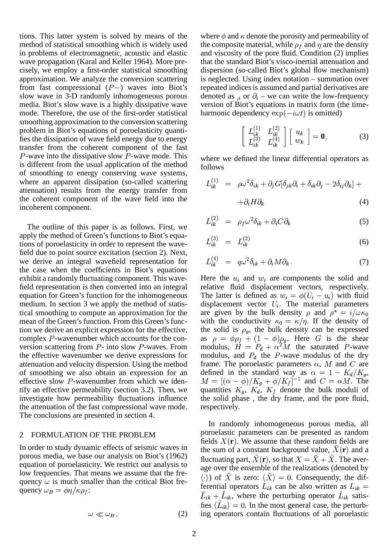tions. This latter system is solved by means of the method of statistical smoothing which is widely used in problems of electromagnetic, acoustic and elastic wave propagation (Karal and Keller 1964). More precisely, we employ a first-order statistical smoothing approximation. We analyze the conversion scattering from fast compressional  $(P-)$  waves into Biot's slow wave in 3-D randomly inhomogeneous porous media. Biot's slow wave is a highly dissipative wave mode. Therefore, the use of the first-order statistical smoothing approximation to the conversion scattering problem in Biot's equations of poroelasticity quantifies the dissipation of wave field energy due to energy transfer from the coherent component of the fast  $P$ -wave into the dissipative slow  $P$ -wave mode. This is different from the usual application of the method of smoothing to energy conserving wave systems, where an apparent dissipation (so-called scattering attenuation) results from the energy transfer from the coherent component of the wave field into the incoherent component.

The outline of this paper is as follows. First, we apply the method of Green's functions to Biot's equations of poroelasticity in order to represent the wavefield due to point source excitation (section 2). Next, we derive an integral wavefield representation for the case when the coefficients in Biot's equations exhibit a randomly fluctuating component. This wavefield representation is then converted into an integral equation for Green's function for the inhomogeneous medium. In section 3 we apply the method of statistical smoothing to compute an approximation for the mean of the Green's function. From this Green's function we derive an explicit expression for the effective, complex  $P$ -wavenumber which accounts for the conversion scattering from  $P$ - into slow  $P$ -waves. From the effective wavenumber we derive expressions for attenuation and velocity dispersion. Using the method of smoothing we also obtain an expression for an effective slow  $P$ -wavenumber from which we identify an effective permeability (section 3.2). Then, we investigate how permeability fluctuations influence the attenuation of the fast compressional wave mode. The conclusions are presented in section 4.

#### 2 FORMULATION OF THE PROBLEM

In order to study dynamic effects of seismic waves in porous media, we base our analysis on Biot's (1962) equation of poroelasticity. We restrict our analysis to low frequencies. That means we assume that the frequency  $\omega$  is much smaller than the critical Biot frequency  $\omega_B = \phi \eta / \kappa \rho_f$ :

$$
\omega \ll \omega_B, \tag{2}
$$

where  $\phi$  and  $\kappa$  denote the porosity and permeability of the composite material, while  $\rho_f$  and  $\eta$  are the density and viscosity of the pore fluid. Condition (2) implies that the standard Biot's visco-inertial attenuation and dispersion (so-called Biot's global flow mechanism) is neglected. Using index notation – summation over repeated indices is assumed and partial derivatives are denoted as  $\alpha$  or  $\partial_i$  – we can write the low-frequency version of Biot's equations in matrix form (the timeharmonic dependency  $\exp(-i\omega t)$  is omitted)

$$
\begin{bmatrix} L_{ik}^{(1)} & L_{ik}^{(2)} \\ L_{ik}^{(3)} & L_{ik}^{(4)} \end{bmatrix} \begin{bmatrix} u_k \\ w_k \end{bmatrix} = \mathbf{0},\tag{3}
$$

where we defined the linear differential operators as follows

$$
L_{ik}^{(1)} = \rho \omega^2 \delta_{ik} + \partial_j G[\delta_{jk}\partial_i + \delta_{ik}\partial_j - 2\delta_{ij}\partial_k] +
$$
  
+  $\partial_i H \partial_k$  (4)

$$
L_{ik}^{(2)} = \rho_f \omega^2 \delta_{ik} + \partial_i C \partial_k \tag{5}
$$

$$
L_{ik}^{(3)} = L_{ik}^{(2)} \tag{6}
$$

$$
L_{ik}^{(4)} = q\omega^2 \delta_{ik} + \partial_i M \partial_k. \tag{7}
$$

Here the  $u_i$  and  $w_i$  are components the solid and The latter is defined as  $w_i = \phi(U_i - u_i)$  with fluid relative fluid displacement vectors, respectively. are given by the bulk density  $\rho$  and  $\rho^* = i/\omega \kappa_0$ displacement vector  $U_i$ . The material parameters with the conductivity  $\kappa_0 = \kappa/\eta$ . If the density of the solid is  $\rho_q$ , the bulk density can be expressed as  $\rho = \phi \rho_f + (1 - \phi) \rho_g$ . Here G is the shear modulus,  $H = P_d + \alpha^2 M$  the saturated P-wave modulus, and  $P_d$  the P-wave modulus of the dry frame. The poroelastic parameters  $\alpha$ , M and C are defined in the standard way as  $\alpha = 1 - K_d/K_q$ ,  $M = [(\alpha - \phi)/K_g + \phi/K_f]^{-1}$  and C <sup>1</sup> and  $C = \alpha M$ . The quantities  $K_g$ ,  $K_d$ ,  $K_f$  denote the bulk moduli of the solid phase , the dry frame, and the pore fluid, respectively.

In randomly inhomogeneous porous media, all poroelastic parameters can be presented as random fields  $X(\mathbf{r})$ . We assume that these random fields are the sum of a constant background value,  $X(\mathbf{r})$  and a fluctuating part,  $\tilde{X}(\mathbf{r})$ , so that  $X = \bar{X} + \tilde{X}$ . The average over the ensemble of the realizations (denoted by  $\langle \cdot \rangle$ ) of X is zero:  $\langle X \rangle = 0$ . Consequently, the differential operators  $L_{ik}$  can be also written as  $L_{ik} =$  $\bar{L}_{ik} + \tilde{L}_{ik}$ , where the perturbing operator  $\tilde{L}_{ik}$  satisfies  $\langle \tilde{L}_{ik} \rangle = 0$ . In the most general case, the perturbing operators contain fluctuations of all poroelastic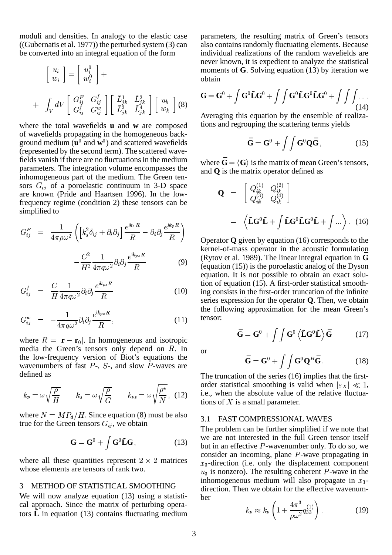moduli and densities. In analogy to the elastic case ((Gubernatis et al. 1977)) the perturbed system (3) can be converted into an integral equation of the form

$$
\begin{bmatrix} u_i \\ w_i \end{bmatrix} = \begin{bmatrix} u_i^0 \\ w_i^0 \end{bmatrix} + \begin{matrix} \text{mov} \\ \text{mov} \\ \text{obti} \end{matrix}
$$
  
+ 
$$
\int_V dV \begin{bmatrix} G_{ij}^F & G_{ij}^f \\ G_{ij}^f & G_{ij}^w \end{bmatrix} \begin{bmatrix} \tilde{L}_{jk}^1 & \tilde{L}_{jk}^2 \\ \tilde{L}_{jk}^3 & \tilde{L}_{jk}^4 \end{bmatrix} \begin{bmatrix} u_k \\ w_k \end{bmatrix} (8)
$$

where the total wavefields **u** and **w** are composed of wavefields propagating in the homogeneous background medium  $(\mathbf{u}^0)$  and  $\mathbf{w}^0$ ) and scattered wavefields (represented by the second term). The scattered wavefields vanish if there are no fluctuations in the medium parameters. The integration volume encompasses the inhomogeneous part of the medium. The Green tensors  $G_{ij}$  of a poroelastic continuum in 3-D space are known (Pride and Haartsen 1996). In the lowfrequency regime (condition 2) these tensors can be simplified to

$$
G_{ij}^{F} = \frac{1}{4\pi \rho \omega^{2}} \left( \left[ k_{s}^{2} \delta_{ij} + \partial_{i} \partial_{j} \right] \frac{e^{ik_{s}R}}{R} - \partial_{i} \partial_{j} \frac{e^{ik_{p}R}}{R} \right)
$$
\n
$$
- \frac{C^{2}}{H^{2}} \frac{1}{4\pi q \omega^{2}} \partial_{i} \partial_{j} \frac{e^{ik_{p}sR}}{R}
$$
\n
$$
(9)
$$
\n(Rytov  
\nequatio

$$
G_{ij}^f = \frac{C}{H} \frac{1}{4\pi q \omega^2} \partial_i \partial_j \frac{e^{ik_{ps}R}}{R}
$$
 (10)

$$
G_{ij}^w = -\frac{1}{4\pi q\omega^2} \partial_i \partial_j \frac{e^{ik_{ps}R}}{R}, \qquad (11)
$$

where  $R = |\mathbf{r} - \mathbf{r}_0|$ . In homogeneous and isotropic media the Green's tensors only depend on  $R$ . In  $\sigma$ the low-frequency version of Biot's equations the wavenumbers of fast  $P$ -,  $S$ -, and slow  $\tilde{P}$ -waves are defined as

$$
k_p = \omega \sqrt{\frac{\rho}{H}} \qquad k_s = \omega \sqrt{\frac{\rho}{G}} \qquad k_{ps} = \omega \sqrt{\frac{\rho^*}{N}}, \tag{12}
$$

where  $N = MP_d/H$ . Since equation (8) must be also true for the Green tensors  $G_{ij}$ , we obtain

$$
\mathbf{G} = \mathbf{G}^0 + \int \mathbf{G}^0 \tilde{\mathbf{L}} \mathbf{G}, \qquad (13)
$$

where all these quantities represent  $2 \times 2$  matrices whose elements are tensors of rank two.

### 3 METHOD OF STATISTICAL SMOOTHING

We will now analyze equation (13) using a statistical approach. Since the matrix of perturbing operators  $\tilde{\bf{L}}$  in equation (13) contains fluctuating medium parameters, the resulting matrix of Green's tensors also contains randomly fluctuating elements. Because individual realizations of the random wavefields are never known, it is expedient to analyze the statistical moments of **G**. Solving equation (13) by iteration we obtain

$$
\mathbf{G} = \mathbf{G}^0 + \int \mathbf{G}^0 \tilde{\mathbf{L}} \mathbf{G}^0 + \int \int \mathbf{G}^0 \tilde{\mathbf{L}} \mathbf{G}^0 \tilde{\mathbf{L}} \mathbf{G}^0 + \int \int \int \dots
$$
\n(14)

Averaging this equation by the ensemble of realizations and regrouping the scattering terms yields

$$
\bar{\mathbf{G}} = \mathbf{G}^0 + \int \int \mathbf{G}^0 \mathbf{Q} \bar{\mathbf{G}}, \qquad (15)
$$

where  $\bar{G} = \langle G \rangle$  is the matrix of mean Green's tensors, and **Q** is the matrix operator defined as

 $\mathcal{L}_{\text{max}}$ 

$$
\mathbf{Q} = \begin{bmatrix} Q_{ik}^{(1)} & Q_{ik}^{(2)} \\ Q_{ik}^{(3)} & Q_{ik}^{(4)} \end{bmatrix}
$$

$$
= \left\langle \mathbf{\tilde{L}} \mathbf{G}^0 \mathbf{\tilde{L}} + \int \mathbf{\tilde{L}} \mathbf{G}^0 \mathbf{\tilde{L}} \mathbf{G}^0 \mathbf{\tilde{L}} + \int ... \right\rangle . (16)
$$

Operator **Q** given by equation (16) corresponds to the kernel-of-mass operator in the acoustic formulation (Rytov et al. 1989). The linear integral equation in  $\bar{G}$ (equation (15)) is the poroelastic analog of the Dyson equation. It is not possible to obtain an exact solution of equation (15). A first-order statistical smoothing consists in the first-order truncation of the infinite series expression for the operator **Q**. Then, we obtain the following approximation for the mean Green's tensor:

$$
\bar{\mathbf{G}} = \mathbf{G}^0 + \int \int \mathbf{G}^0 \left\langle \tilde{\mathbf{L}} \mathbf{G}^0 \tilde{\mathbf{L}} \right\rangle \bar{\mathbf{G}} \tag{17}
$$

or

$$
\bar{\mathbf{G}} = \mathbf{G}^0 + \int \int \mathbf{G}^0 \mathbf{Q}^B \bar{\mathbf{G}}.
$$
 (18)

 $\frac{p}{N}$ , (12) i.e., when the absolute value of the relative fluctua-The truncation of the series (16) implies that the firstorder statistical smoothing is valid when  $|\varepsilon_X| \ll 1$ , tions of  $X$  is a small parameter.

### 3.1 FAST COMPRESSIONAL WAVES

The problem can be further simplified if we note that we are not interested in the full Green tensor itself but in an effective  $P$ -wavenumber only. To do so, we consider an incoming, plane  $P$ -wave propagating in  $x_3$ -direction (i.e. only the displacement component direction. Then we obtain for the effective wavenum- $_3$  is nonzero). The resulting coherent P-wave in the inhomogeneous medium will also propagate in  $x_3$ ber  $\mathbf{a}$  and  $\mathbf{b}$ 

$$
\bar{k}_p \approx k_p \left( 1 + \frac{4\pi^3}{\rho \omega^2} q_{33}^{(1)} \right) \,. \tag{19}
$$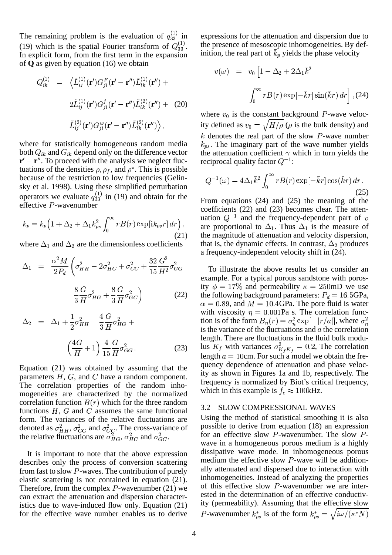The remaining problem is the evaluation of  $q_{33}^{(1)}$  in (19) which is the spatial Fourier transform of  $Q_{33}^{(1)}$ . the prese In explicit form, from the first term in the expansion of **Q** as given by equation (16) we obtain

$$
Q_{ik}^{(1)} = \left\langle \tilde{L}_{ij}^{(1)}(\mathbf{r}')G_{jl}^{F}(\mathbf{r}' - \mathbf{r}'')\tilde{L}_{lk}^{(1)}(\mathbf{r}'') + 2\tilde{L}_{ij}^{(1)}(\mathbf{r}')G_{jl}^{f}(\mathbf{r}' - \mathbf{r}'')\tilde{L}_{lk}^{(2)}(\mathbf{r}'') + (20) \right\}
$$
\nwhen

\n
$$
\tilde{L}_{ij}^{(2)}(\mathbf{r}')G_{jl}^{w}(\mathbf{r}' - \mathbf{r}'')\tilde{L}_{lk}^{(2)}(\mathbf{r}'') \right\}, \qquad \text{ity d}
$$

where for statistically homogeneous random media both  $Q_{ik}$  and  $G_{ik}$  depend only on the difference vector  $\mathbf{r}' - \mathbf{r}''$ . To proceed with the analysis we neglect fluctuations of the densities  $\rho$ ,  $\rho_f$ , and  $\rho^*$ . This is possible because of the restriction to low frequencies (Gelinsky et al. 1998). Using these simplified perturbation operators we evaluate  $q_{33}^{(1)}$  in (19) and obtain for the effective  $P$ -wavenumber

$$
\bar{k}_p = k_p \Big( 1 + \Delta_2 + \Delta_1 k_{ps}^2 \int_0^\infty r B(r) \exp[i k_{ps} r] dr \Big), \qquad \begin{array}{c} 1 \\ \epsilon \end{array} \tag{21}
$$

where  $\Delta_1$  and  $\Delta_2$  are the dimensionless coefficients

$$
\Delta_1 = \frac{\alpha^2 M}{2P_d} \left( \sigma_{HH}^2 - 2\sigma_{HC}^2 + \sigma_{CC}^2 + \frac{32 G^2}{15 H^2} \sigma_{GG}^2 \right)
$$
\n
$$
- \frac{8}{3} \frac{G}{H} \sigma_{HG}^2 + \frac{8}{3} \frac{G}{H} \sigma_{GC}^2 \right)
$$
\n
$$
\frac{\text{ity}}{\text{the f}}
$$
\n
$$
\frac{1}{2} \frac{G}{H} \sigma_{HG}^2 + \frac{8}{3} \frac{G}{H} \sigma_{GC}^2 \right)
$$
\n
$$
(22)
$$

$$
\Delta_2 = \Delta_1 + \frac{1}{2}\sigma_{HH}^2 - \frac{4}{3}\frac{G}{H}\sigma_{HG}^2 +
$$

$$
\left(\frac{4G}{H} + 1\right)\frac{4}{15}\frac{G}{H}\sigma_{GG}^2.
$$
 (23)

Equation (21) was obtained by assuming that the parameters  $H$ ,  $G$ , and  $C$  have a random component. The correlation properties of the random inhomogeneities are characterized by the normalized correlation function  $B(r)$  which for the three random functions  $H$ ,  $G$  and  $C$  assumes the same functional form. The variances of the relative fluctuations are denoted as  $\sigma_{HH}^2$ ,  $\sigma_{GG}^2$  and  $\sigma_{GG}^2$ . The cross-variance of the relative fluctuations are  $\sigma_{HG}^2$ ,  $\sigma_{HC}^2$  and  $\sigma_{GC}^2$ .

It is important to note that the above expression describes only the process of conversion scattering from fast to slow  $P$ -waves. The contribution of purely elastic scattering is not contained in equation (21). Therefore, from the complex  $P$ -wavenumber (21) we can extract the attenuation and dispersion characteristics due to wave-induced flow only. Equation (21) for the effective wave number enables us to derive expressions for the attenuation and dispersion due to the presence of mesoscopic inhomogeneities. By definition, the real part of  $k_p$  yields the phase velocity

$$
v(\omega) = v_0 \left[ 1 - \Delta_2 + 2\Delta_1 \bar{k}^2 \right]
$$

$$
\int_0^\infty r B(r) \exp[-\bar{k}r] \sin(\bar{k}r) dr \right], (24)
$$

where  $v_0$  is the constant background P-wave velocity defined as  $v_0 = \sqrt{H/\rho}$  ( $\rho$  is the bulk density) and  $\overline{k}$  denotes the real part of the slow P-wave number  $k_{ps}$ . The imaginary part of the wave number yields the attenuation coefficient  $\gamma$  which in turn yields the reciprocal quality factor  $Q^{-1}$ :  $\mathbf{1}$ :

$$
Q^{-1}(\omega) = 4\Delta_1 \bar{k}^2 \int_0^\infty r B(r) \exp[-\bar{k}r] \cos(\bar{k}r) dr.
$$
\n(25)

 $\lceil ar \rceil$ , are proportional to  $\Delta_1$ . Thus  $\Delta_1$  is the measure of From equations (24) and (25) the meaning of the coefficients (22) and (23) becomes clear. The attenuation  $Q^{-1}$  and the freq <sup>1</sup> and the frequency-dependent part of  $v$ the magnitude of attenuation and velocity dispersion, that is, the dynamic effects. In contrast,  $\Delta_2$  produces a frequency-independent velocity shift in (24).

example. For a typical porous sandstone with poros- To illustrate the above results let us consider an ity  $\phi = 17\%$  and permeability  $\kappa = 250$ mD we use the following background parameters:  $P_d = 16.5$ GPa, <sup>x</sup> .89, and  $M = 10.4$  GPa. The pore fluid is water with viscosity  $\eta = 0.001$ Pa s. Th .001Pa s. The correlation function is of the form  $B_n(r) = \sigma_n^2 \exp[-|r/a|]$ , where  $\sigma_n^2$ is the variance of the fluctuations and a the correlation length. There are fluctuations in the fluid bulk modulus  $K_f$  with variances  $\sigma_{K_fK_f}^2 = 0.2$ , The c .2, The correlation length  $a = 10$ cm. For such a model we obtain the frequency dependence of attenuation and phase velocity as shown in Figures 1a and 1b, respectively. The frequency is normalized by Biot's critical frequency, which in this example is  $f_c \approx 100$ kHz.

### 3.2 SLOW COMPRESSIONAL WAVES

Using the method of statistical smoothing it is also possible to derive from equation (18) an expression for an effective slow  $P$ -wavenumber. The slow  $P$ wave in a homogeneous porous medium is a highly dissipative wave mode. In inhomogeneous porous medium the effective slow  $P$ -wave will be additionally attenuated and dispersed due to interaction with inhomogeneities. Instead of analyzing the properties of this effective slow  $P$ -wavenumber we are interested in the determination of an effective conductivity (permeability). Assuming that the effective slow P-wavenumber  $k_{ps}^*$  is of the form  $k_{ps}^* = \sqrt{i\omega/(\kappa^*N)}$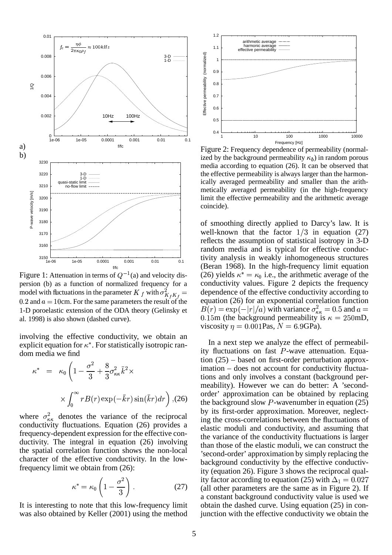

Figure 1: Attenuation in terms of  $Q^{-1}(a)$  and velocity dispersion (b) as a function of normalized frequency for a model with fluctuations in the parameter  $K_f$  with  $\sigma^2_{K_f K_f}$  = 0.2 and  $a = 10$ cm. For the same parameters the result of the 1-D poroelastic extension of the ODA theory (Gelinsky et al. 1998) is also shown (dashed curve).

involving the effective conductivity, we obtain an explicit equation for  $\kappa^*$ . For statistically isotropic random media we find

 $\sim$   $\sim$   $\sim$   $\sim$   $\sim$ 

$$
\kappa^* = \kappa_0 \left( 1 - \frac{\sigma^2}{3} + \frac{8}{3} \sigma_{\kappa \kappa}^2 \bar{k}^2 \times \right)
$$

$$
\times \int_0^\infty r B(r) \exp(-\bar{k}r) \sin(\bar{k}r) dr \right), (26)
$$

where  $\sigma_{\kappa\kappa}^2$  denotes the variance of the reciprocal conductivity fluctuations. Equation (26) provides a frequency-dependent expression for the effective conductivity. The integral in equation (26) involving the spatial correlation function shows the non-local character of the effective conductivity. In the lowfrequency limit we obtain from (26):

$$
\kappa^* = \kappa_0 \left( 1 - \frac{\sigma^2}{3} \right). \tag{27}
$$

It is interesting to note that this low-frequency limit was also obtained by Keller (2001) using the method



Figure 2: Frequency dependence of permeability (normalized by the background permeability  $\kappa_b$ ) in random porous media according to equation (26). It can be observed that the effective permeability is always larger than the harmonically averaged permeability and smaller than the arithmetically averaged permeability (in the high-frequency limit the effective permeability and the arithmetic average coincide).

 $\frac{2}{K_K}$  = dependence of the effective conductivity according to of smoothing directly applied to Darcy's law. It is well-known that the factor  $1/3$  in equation (27) reflects the assumption of statistical isotropy in 3-D random media and is typical for effective conductivity analysis in weakly inhomogeneous structures (Beran 1968). In the high-frequency limit equation (26) yields  $\kappa^* = \kappa_0$  i.e., the arithmetic average of the conductivity values. Figure 2 depicts the frequency equation (26) for an exponential correlation function 0.15m (the background permeability is  $\kappa = 250$ mD,  $\chi(r) = \exp(-|r|/a)$  with variance  $\sigma_{\kappa\kappa}^2 = 0.5$  and  $a =$  $B(r) = \exp(-|r|/a)$  with variance  $\sigma_{\kappa\kappa}^2 = 0.5$  and  $a =$ viscosity  $\eta = 0.001$ Pas,  $N = 6.9$ GPa). .9GPa).

> In a next step we analyze the effect of permeability fluctuations on fast  $P$ -wave attenuation. Equation (25) – based on first-order perturbation approximation – does not account for conductivity fluctuations and only involves a constant (background permeability). However we can do better: A 'secondorder' approximation can be obtained by replacing the background slow  $P$ -wavenumber in equation (25) by its first-order approximation. Moreover, neglecting the cross-correlations between the fluctuations of elastic moduli and conductivity, and assuming that the variance of the conductivity fluctuations is larger than those of the elastic moduli, we can construct the 'second-order' approximation by simply replacing the background conductivity by the effective conductivity (equation 26). Figure 3 shows the reciprocal quality factor according to equation (25) with  $\Delta_1 = 0.027$ (all other parameters are the same as in Figure 2). If a constant background conductivity value is used we obtain the dashed curve. Using equation (25) in conjunction with the effective conductivity we obtain the